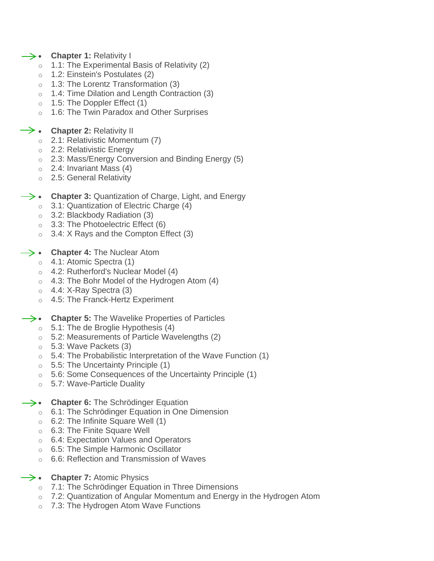- **Chapter 1:** Relativity I
	- o 1.1: The Experimental Basis of Relativity (2)
	- o 1.2: Einstein's Postulates (2)
	- o 1.3: The Lorentz Transformation (3)
	- o 1.4: Time Dilation and Length Contraction (3)
	- $\circ$  1.5: The Doppler Effect (1)
	- o 1.6: The Twin Paradox and Other Surprises
- **→ Chapter 2: Relativity II** 
	- o 2.1: Relativistic Momentum (7)
	- o 2.2: Relativistic Energy
	- o 2.3: Mass/Energy Conversion and Binding Energy (5)
	- $\circ$  2.4: Invariant Mass (4)
	- o 2.5: General Relativity
- **Chapter 3:** Quantization of Charge, Light, and Energy
	- $\circ$  3.1: Quantization of Electric Charge (4)
	- o 3.2: Blackbody Radiation (3)
	- $\circ$  3.3: The Photoelectric Effect (6)
	- $\circ$  3.4: X Rays and the Compton Effect (3)
- **Chapter 4:** The Nuclear Atom
	- o 4.1: Atomic Spectra (1)
	- o 4.2: Rutherford's Nuclear Model (4)
	- $\circ$  4.3: The Bohr Model of the Hydrogen Atom (4)
	- $\circ$  4.4: X-Ray Spectra (3)
	- o 4.5: The Franck-Hertz Experiment
- **Chapter 5:** The Wavelike Properties of Particles
	- $\circ$  5.1: The de Broglie Hypothesis (4)
	- o 5.2: Measurements of Particle Wavelengths (2)
	- $\circ$  5.3: Wave Packets (3)
	- $\circ$  5.4: The Probabilistic Interpretation of the Wave Function (1)
	- $\circ$  5.5: The Uncertainty Principle (1)
	- $\circ$  5.6: Some Consequences of the Uncertainty Principle (1)
	- o 5.7: Wave-Particle Duality
- **Chapter 6:** The Schrödinger Equation
	- o 6.1: The Schrödinger Equation in One Dimension
	- $\circ$  6.2: The Infinite Square Well (1)
	- o 6.3: The Finite Square Well
	- o 6.4: Expectation Values and Operators
	- o 6.5: The Simple Harmonic Oscillator
	- o 6.6: Reflection and Transmission of Waves
- $\rightarrow$  **Chapter 7:** Atomic Physics
	- o 7.1: The Schrödinger Equation in Three Dimensions
	- $\circ$  7.2: Quantization of Angular Momentum and Energy in the Hydrogen Atom
	- 7.3: The Hydrogen Atom Wave Functions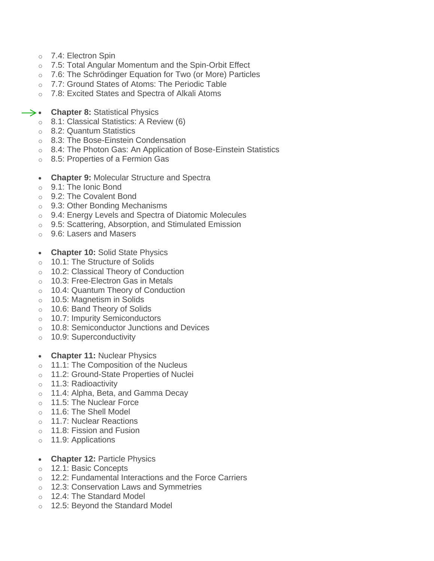- o 7.4: Electron Spin
- o 7.5: Total Angular Momentum and the Spin-Orbit Effect
- o 7.6: The Schrödinger Equation for Two (or More) Particles
- o 7.7: Ground States of Atoms: The Periodic Table
- o 7.8: Excited States and Spectra of Alkali Atoms
- **Chapter 8:** Statistical Physics
	- o 8.1: Classical Statistics: A Review (6)
	- o 8.2: Quantum Statistics
	- o 8.3: The Bose-Einstein Condensation
	- o 8.4: The Photon Gas: An Application of Bose-Einstein Statistics
	- o 8.5: Properties of a Fermion Gas
	- **Chapter 9:** Molecular Structure and Spectra
	- o 9.1: The Ionic Bond
	- o 9.2: The Covalent Bond
	- o 9.3: Other Bonding Mechanisms
	- o 9.4: Energy Levels and Spectra of Diatomic Molecules
	- o 9.5: Scattering, Absorption, and Stimulated Emission
	- o 9.6: Lasers and Masers
	- **Chapter 10:** Solid State Physics
	- o 10.1: The Structure of Solids
	- o 10.2: Classical Theory of Conduction
	- o 10.3: Free-Electron Gas in Metals
	- o 10.4: Quantum Theory of Conduction
	- o 10.5: Magnetism in Solids
	- o 10.6: Band Theory of Solids
	- o 10.7: Impurity Semiconductors
	- o 10.8: Semiconductor Junctions and Devices
	- o 10.9: Superconductivity
	- **Chapter 11:** Nuclear Physics
	- o 11.1: The Composition of the Nucleus
	- o 11.2: Ground-State Properties of Nuclei
	- o 11.3: Radioactivity
	- o 11.4: Alpha, Beta, and Gamma Decay
	- $\circ$  11.5: The Nuclear Force
	- o 11.6: The Shell Model
	- o 11.7: Nuclear Reactions
	- o 11.8: Fission and Fusion
	- o 11.9: Applications
	- **Chapter 12:** Particle Physics
	- o 12.1: Basic Concepts
	- o 12.2: Fundamental Interactions and the Force Carriers
	- o 12.3: Conservation Laws and Symmetries
	- o 12.4: The Standard Model
	- 12.5: Beyond the Standard Model